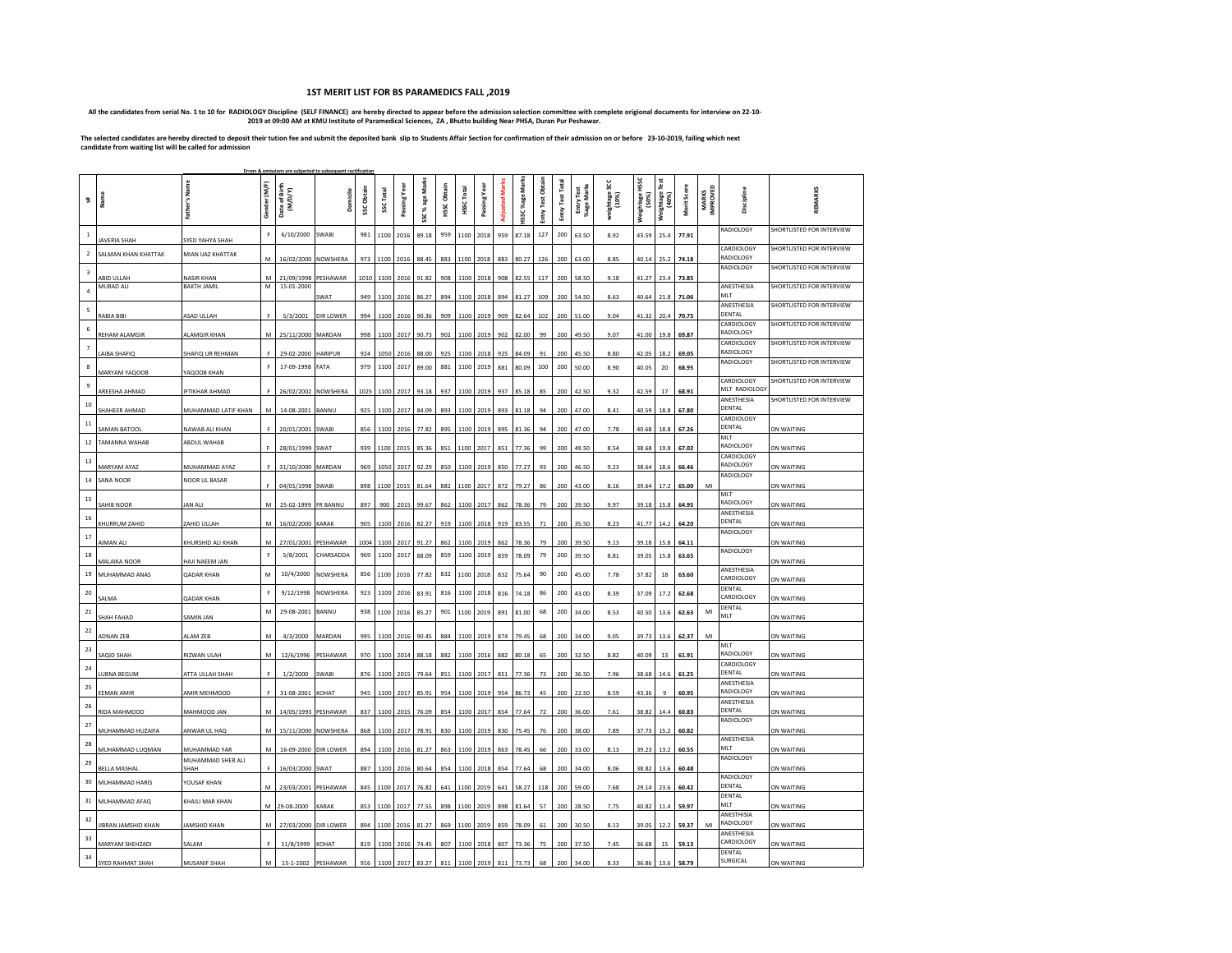## **1ST MERIT LIST FOR BS PARAMEDICS FALL ,2019**

-All the candidates from serial No. 1 to 10 for RADIOLOGY Discipline (SELF FINANCE) are hereby directed to appear before the admission selection committee with complete origional documents for interview on 22-10-<br>2019 at 0

**The selected candidates are hereby directed to deposit their tution fee and submit the deposited bank slip to Students Affair Section for confirmation of their admission on or before 23-10-2019, failing which next candidate from waiting list will be called for admission**

| Errors & omissions are subjected to subsequent ractificatio |                                 |                                  |              |                               |                         |            |                 |                        |                      |                |                   |                                |               |                       |                  |                 |                          |                     |                         |                       |                     |                          |                             |                           |
|-------------------------------------------------------------|---------------------------------|----------------------------------|--------------|-------------------------------|-------------------------|------------|-----------------|------------------------|----------------------|----------------|-------------------|--------------------------------|---------------|-----------------------|------------------|-----------------|--------------------------|---------------------|-------------------------|-----------------------|---------------------|--------------------------|-----------------------------|---------------------------|
| $\frac{44}{5}$                                              | ne<br>Marne                     | Father's Name                    | Gender (M/F) | Date of Birth<br>(M/D/Y)      | Domicile                | SSC Obtain | <b>SSCTotal</b> | Passing Year           | SSC % age Marks      | Obtain<br>HSSC | Total<br>HSSC     | Passing                        | Adjusted Mark | <b>ISSC %age Mark</b> | Entry Test Obtai | Entry Test Tota | Entry Test<br>%age Marks | weightage!<br>(10%) | Weightage HSSC<br>(50%) | (%cm)<br>. a8e:u8ie.w | Merit Scor          | <b>MARKS</b><br>IMPROVED | Discipline                  | REMARKS                   |
| $\mathbf{1}$                                                | AVERIA SHAH                     | SYED YAHYA SHAH                  |              | 6/10/2000                     | <b>SWABI</b>            | 981        | 1100            | 2016                   | 89.18                | 959            | 1100              | 2018                           | 959           | 87.18                 | 127              | 200             | 63.50                    | 8.92                | 43.59                   | 25.4                  | 77.91               |                          | RADIOLOGY                   | SHORTLISTED FOR INTERVIEW |
| $\overline{2}$                                              | SALMAN KHAN KHATTAK             | MIAN IJAZ KHATTAK                | M            | 16/02/2000 NOWSHERA           |                         | 973        |                 | 1100 2016              | 88.45                | 883            | 1100 2018         |                                | 883           | 80.27                 | 126              | 200             | 63.00                    | 8.85                | 40.14                   | 25.2                  | 74.18               |                          | CARDIOLOGY<br>RADIOLOGY     | SHORTLISTED FOR INTERVIEW |
| $\overline{\mathbf{3}}$                                     |                                 |                                  | M            |                               |                         |            |                 |                        | 91.82                | 908            | 1100              |                                | 908           | 82.55                 | 117              | 200             | 58.50                    | 9.18                | 41.27                   | 23.4                  | 73.85               |                          | RADIOLOGY                   | SHORTLISTED FOR INTERVIEW |
| $\overline{a}$                                              | ABID ULLAH<br>MURAD ALI         | <b>NASIR KHAN</b><br>BAKTH JAMIL | М            | 21/09/1998<br>15-01-2000      | <b>PESHAWAR</b><br>SWAT | 949        |                 | 1010 1100 2016         | 86.27                | 894            | 1100              | 2018                           |               | 81.27                 | 109              | 200             | 54.50                    | 8.63                | 40.64                   | 21.8                  |                     |                          | ANESTHESIA<br>MLT           | SHORTLISTED FOR INTERVIEW |
| 5                                                           |                                 |                                  |              |                               |                         |            |                 | 1100 2016              |                      |                |                   | 2018 894                       |               |                       |                  |                 |                          |                     |                         |                       | 71.06               |                          | ANESTHESIA<br>DENTAL        | SHORTLISTED FOR INTERVIEW |
| 6                                                           | RABIA BIBI                      | ASAD ULLAH<br>ALAMGIR KHAN       | M            | 5/3/2001<br>25/11/2000 MARDAN | <b>DIR LOWER</b>        | 994<br>998 |                 | 1100 2016<br>1100 2017 | 90.36<br>90.73       | 909<br>902     |                   | 1100 2019 909<br>1100 2019 902 |               | 82.64<br>82.00        | 102<br>99        | 200<br>200      | 51.00<br>49.50           | 9.04<br>9.07        | 41.32<br>41.00          | 19.8                  | 20.4 70.75<br>69.87 |                          | CARDIOLOGY<br>RADIOLOGY     | SHORTLISTED FOR INTERVIEW |
| $\overline{7}$                                              | REHAM ALAMGIR<br>AIBA SHAFIQ    | SHAFIQ UR REHMAN                 |              | 29-02-2000 HARIPUR            |                         | 924        |                 | 1050 2016              | 88.00                | 925            | 1100              | 2018                           | 925           | 84.09                 | 91               | 200             | 45.50                    | 8.80                | 42.05                   | 18.2                  | 69.05               |                          | CARDIOLOGY<br>RADIOLOGY     | SHORTLISTED FOR INTERVIEW |
| 8                                                           |                                 |                                  |              | 17-09-1998                    | FATA                    | 979        | 1100            | 2017                   | 89.00                | 881            | 1100              | 2019                           | 881           | 80.09                 | 100              | 200             | 50.00                    | 8.90                | 40.05                   | 20                    | 68.95               |                          | RADIOLOGY                   | SHORTLISTED FOR INTERVIEW |
| $\overline{9}$                                              | MARYAM YAQOOB                   | YAQOOB KHAN                      |              |                               |                         |            |                 |                        |                      |                |                   |                                |               |                       |                  |                 |                          |                     |                         |                       |                     |                          | CARDIOLOGY<br>MLT RADIOLOGY | SHORTLISTED FOR INTERVIEW |
| 10                                                          | AREESHA AHMAD                   | <b>IFTIKHAR AHMAD</b>            |              | 26/02/2002 NOWSHERA           |                         |            |                 | 1025 1100 2017         | 93.18                |                | 937 1100 2019 937 |                                |               | 85.18                 | 85               | 200             | 42.50                    | 9.32                | 42.59                   | 17                    | 68.91               |                          | ANESTHESIA<br>DENTAL        | SHORTLISTED FOR INTERVIEW |
| 11                                                          | <b>SHAHEER AHMAD</b>            | MUHAMMAD LATIF KHAN              | M            | 14-08-2001 BANNU              |                         |            |                 |                        | 925 1100 2017 84.09  |                | 893 1100 2019 893 |                                |               | 81.18                 | 94               | 200             | 47.00                    | 8.41                | 40.59                   | 18.8                  | 67.80               |                          | CARDIOLOGY<br>DENTAL        |                           |
| 12                                                          | SAMAN BATOOL<br>TAMANNA WAHAB   | NAWAB ALI KHAN<br>ABDUL WAHAB    |              | 20/01/2001 SWABI              |                         |            |                 |                        | 856 1100 2016 77.82  |                | 895 1100 2019 895 |                                |               | 81.36                 | 94               | 200             | 47.00                    | 7.78                |                         |                       | 40.68 18.8 67.26    |                          | MI T<br>RADIOLOGY           | ON WAITING                |
| 13                                                          |                                 |                                  |              | 28/01/1999 SWAT               |                         |            |                 |                        | 939 1100 2015 85.36  |                | 851 1100 2017 851 |                                |               | 77.36                 | 99               | 200             | 49.50                    | 8.54                | 38.68 19.8 67.02        |                       |                     |                          | CARDIOLOGY                  | ON WAITING                |
| 14                                                          | <b>MARYAM AYAZ</b><br>SANA NOOR | MUHAMMAD AYAZ<br>NOOR UL BASAR   |              | 31/10/2000 MARDAN             |                         |            |                 | 969 1050 2017          | 92.29                |                | 850 1100 2019 850 |                                |               | 77.27                 | 93               | 200             | 46.50                    | 9.23                | 38.64                   | 18.6                  | 66.46               |                          | RADIOLOGY<br>RADIOLOGY      | ON WAITING                |
| 15                                                          |                                 |                                  |              | 04/01/1998 SWABI              |                         |            |                 |                        | 898 1100 2015 81.64  |                | 882 1100 2017 872 |                                |               | 79.27                 | 86               | 200             | 43.00                    | 8.16                |                         |                       | 39.64 17.2 65.00    | MI                       | MI T                        | ON WAITING                |
| 16                                                          | SAHIB NOOR                      | JAN ALI                          | M            | 25-02-1999 FR BANNU           |                         | 897        |                 |                        | 900 2015 99.67       |                | 862 1100 2017 862 |                                |               | 78.36                 | 79               | 200             | 39.50                    | 9.97                | 39.18 15.8              |                       | 64.95               |                          | RADIOLOGY<br>ANESTHESIA     | ON WAITING                |
|                                                             | KHURRUM ZAHID                   | ZAHID ULLAH                      | M            | 16/02/2000 KARAK              |                         |            |                 |                        | 905 1100 2016 82.27  |                | 919 1100 2018 919 |                                |               | 83.55                 | 71               | 200             | 35.50                    | 8.23                | 41.77 14.2              |                       | 64.20               |                          | DENTAL<br>RADIOLOGY         | ON WAITING                |
| 17                                                          | AIMAN ALI                       | KHURSHID ALI KHAN                | M            | 27/01/2001 PESHAWAR           |                         |            |                 |                        | 1004 1100 2017 91.27 | 862            | 1100 2019 862     |                                |               | 78.36                 | 79               | 200             | 39.50                    | 9.13                | 39.18                   | 15.8                  | 64.11               |                          | RADIOLOGY                   | ON WAITING                |
| 18                                                          | MALAIKA NOOR                    | HAJI NAEEM JAN                   |              | 5/8/2001                      | CHARSADDA               | 969        | 1100            | 2017                   | 88.09                | 859            | 1100              | 2019                           | 859           | 78.09                 | 79               | 200             | 39.50                    | 8.81                | 39.05                   | 15.8                  | 63.65               |                          | ANESTHESIA                  | ON WAITING                |
| 19                                                          | MUHAMMAD ANAS                   | <b>QADAR KHAN</b>                | M            | 10/4/2000                     | NOWSHERA                | 856        | 1100            | 2016                   | 77.82                | 832            | 1100 2018         |                                | 832           | 75.64                 | 90               | 200             | 45.00                    | 7.78                | 37.82                   | 18                    | 63.60               |                          | CARDIOLOGY<br>DENTAL        | ON WAITING                |
| 20                                                          | <b>SALMA</b>                    | <b>QADAR KHAN</b>                |              | 9/12/1998                     | NOWSHERA                | 923        | 1100            | 2016                   | 83.91                | 816            | 1100              | 2018                           | 816           | 74.18                 | 86               | 200             | 43.00                    | 8.39                | 37.09                   | 17.2                  | 62.68               |                          | CARDIOLOGY                  | ON WAITING                |
| 21                                                          | SHAH FAHAD                      | SAMIN JAN                        | M            | 29-08-2001                    | BANNU                   | 938        | 1100            | 2016                   | 85.27                | 901            | 1100              | 2019                           | 891           | 81.00                 | 68               | 200             | 34.00                    | 8.53                | 40.50                   | 13.6                  | 62.63               | MI                       | DENTAL<br>MLT               | ON WAITING                |
| 22                                                          | ADNAN ZEB                       | ALAM ZEB                         | M            | 4/3/2000                      | MARDAN                  | 995        |                 | 1100 2016              | 90.45                | 884            |                   | 1100 2019 874                  |               | 79.45                 | 68               | 200             | 34.00                    | 9.05                | 39.73                   | 13.6                  | 62.37               | M                        |                             | ON WAITING                |
| 23                                                          | <b>AQID SHAH</b>                | RIZWAN ULAH                      | M            | 12/6/1996                     | PESHAWAR                | 970        |                 |                        | 1100 2014 88.18      | 882            | 1100 2016 882     |                                |               | 80.18                 | 65               | 200             | 32.50                    | 8.82                | 40.09                   | 13                    | 61.91               |                          | MLT<br>RADIOLOGY            | ON WAITING                |
| 24                                                          | <b>UBNA BEGUM</b>               | ATTA ULLAH SHAH                  |              | 1/2/2000                      | SWABI                   | 876        |                 | 1100 2015              | 79.64                | 851            | 1100 2017 851     |                                |               | 77.36                 | 73               | 200             | 36.50                    | 7.96                | 38.68                   | 14.6                  | 61.25               |                          | CARDIOLOGY<br>DENTAL        | ON WAITING                |
| 25                                                          | EEMAN AMIR                      | AMIR MEHMOOD                     |              | 31-08-2001 KOHAT              |                         | 945        |                 | 1100 2017              | 85.91                | 954            | 1100 2019 954     |                                |               | 86.73                 | 45               | 200             | 22.50                    | 8.59                | 43.36                   |                       | 60.95               |                          | ANESTHESIA<br>RADIOLOGY     | ON WAITING                |
| 26                                                          | RIDA MAHMOOD                    | MAHMOOD JAN                      | м            | 14/05/1993 PESHAWAR           |                         |            |                 | 837 1100 2015          | 76.09                | 854            | 1100 2017 854     |                                |               | 77.64                 | 72               | 200             | 36.00                    | 7.61                | 38.82                   | 14.4                  | 60.83               |                          | ANESTHESIA<br>DENTAL        | ON WAITING                |
| 27                                                          | MUHAMMAD HUZAIFA                | ANWAR UL HAQ                     | м            | 15/11/2000 NOWSHERA           |                         | 868        |                 | 1100 2017              | 78.91                | 830            | 1100              | 2019 830                       |               | 75.45                 | 76               | 200             | 38.00                    | 7.89                | 37.73                   | 15.2                  | 60.82               |                          | RADIOLOGY                   | ON WAITING                |
| 28                                                          | MUHAMMAD LUQMAN                 | MUHAMMAD YAR                     | M            | 16-09-2000 DIR LOWER          |                         |            |                 |                        | 894 1100 2016 81.27  | 863            | 1100 2019 863     |                                |               | 78.45                 | 66               | 200             | 33.00                    | 8.13                | 39.23                   | 13.2                  | 60.55               |                          | ANESTHESIA<br>MLT           | ON WAITING                |
| 29                                                          | <b>BELLA MASHAL</b>             | MUHAMMAD SHER ALI<br>SHAH        |              | 16/03/2000 SWAT               |                         | 887        |                 | 1100 2016              | 80.64                | 854            | 1100              | 2018                           | 854           | 77.64                 | 68               | 200             | 34.00                    | 8.06                | 38.82                   | 13.6                  | 60.48               |                          | RADIOLOGY                   | ON WAITING                |
| 30                                                          | MUHAMMAD HARIS                  | YOUSAF KHAN                      | M            | 23/03/2001 PESHAWAR           |                         | 845        |                 | 1100 2017              | 76.82                | 641            | 1100              | 2019                           | 641           | 58.27                 | 118              | 200             | 59.00                    | 7.68                | 29.14                   | 23.6                  | 60.42               |                          | RADIOLOGY<br>DENTAL         | ON WAITING                |
| 31                                                          | MUHAMMAD AFAQ                   | KHAILI MAR KHAN                  | м            | 29-08-2000                    | KARAK                   | 853        | 1100            | 2017                   | 77.55                | 898            | 1100              | 2019                           | 898           | 81.64                 | 57               | 200             | 28.50                    | 7.75                | 40.82                   | 11.4                  | 59.97               |                          | DENTAL<br>MLT               | ON WAITING                |
| 32                                                          | JIBRAN JAMSHID KHAN             | <b>JAMSHID KHAN</b>              | M            | 27/03/2000 DIR LOWER          |                         |            |                 | 894 1100 2016          | 81.27                | 869            | 1100 2019         |                                | 859           | 78.09                 | 61               | 200             | 30.50                    | 8.13                | 39.05                   | 12.2                  | 59.37               | MI                       | ANESTHISIA<br>RADIOLOGY     | ON WAITING                |
| 33                                                          | MARYAM SHEHZADI                 | SALAM                            |              | 11/8/1999                     | KOHAT                   | 819        | 1100            | 2016                   | 74.45                | 807            | 1100              | 2018                           | 807           | 73.36                 | 75               | 200             | 37.50                    | 7.45                | 36.68                   | 15                    | 59.13               |                          | ANESTHESIA<br>CARDIOLOGY    | ON WAITING                |
| 34                                                          | SYED RAHMAT SHAH                | MUSANIF SHAH                     | M            |                               | 15-1-2002 PESHAWAR      | 916        |                 | 1100 2017              | 83.27                | 811            | 1100              | 2019                           | 811           | 73.73                 | 68               | 200             | 34.00                    | 8.33                | 36.86                   | 13.6                  | 58.79               |                          | DENTAL<br>SURGICAL          | ON WAITING                |